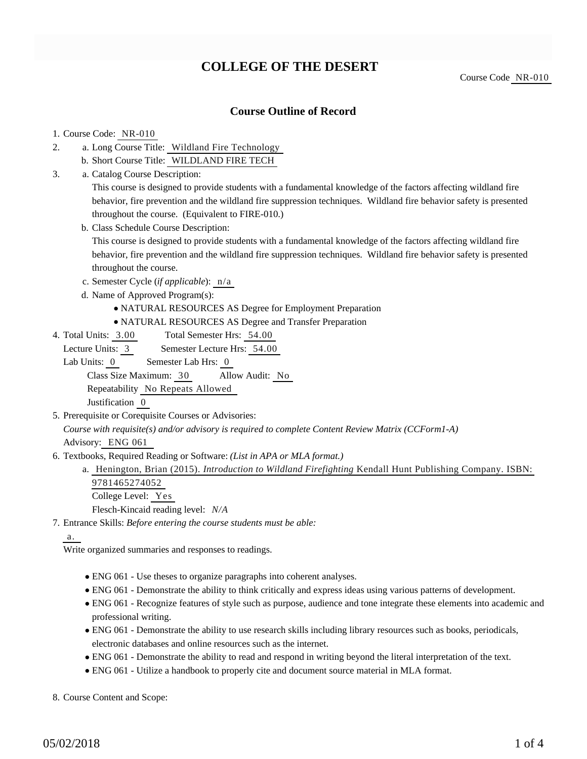# **COLLEGE OF THE DESERT**

Course Code NR-010

## **Course Outline of Record**

### 1. Course Code: NR-010

- a. Long Course Title: Wildland Fire Technology 2.
	- b. Short Course Title: WILDLAND FIRE TECH
- Catalog Course Description: a. 3.

This course is designed to provide students with a fundamental knowledge of the factors affecting wildland fire behavior, fire prevention and the wildland fire suppression techniques. Wildland fire behavior safety is presented throughout the course. (Equivalent to FIRE-010.)

b. Class Schedule Course Description:

This course is designed to provide students with a fundamental knowledge of the factors affecting wildland fire behavior, fire prevention and the wildland fire suppression techniques. Wildland fire behavior safety is presented throughout the course.

- c. Semester Cycle (*if applicable*): n/a
- d. Name of Approved Program(s):
	- NATURAL RESOURCES AS Degree for Employment Preparation
	- NATURAL RESOURCES AS Degree and Transfer Preparation
- Total Semester Hrs: 54.00 4. Total Units: 3.00

Lecture Units: 3 Semester Lecture Hrs: 54.00

Lab Units: 0 Semester Lab Hrs: 0

Class Size Maximum: 30 Allow Audit: No

Repeatability No Repeats Allowed

Justification 0

- 5. Prerequisite or Corequisite Courses or Advisories: *Course with requisite(s) and/or advisory is required to complete Content Review Matrix (CCForm1-A)* Advisory: ENG 061
- 6. Textbooks, Required Reading or Software: (List in APA or MLA format.)
	- a. Henington, Brian (2015). *Introduction to Wildland Firefighting* Kendall Hunt Publishing Company. ISBN: 9781465274052

College Level: Yes Flesch-Kincaid reading level: *N/A*

Entrance Skills: *Before entering the course students must be able:* 7.

## a.

Write organized summaries and responses to readings.

- ENG 061 Use theses to organize paragraphs into coherent analyses.
- ENG 061 Demonstrate the ability to think critically and express ideas using various patterns of development.
- ENG 061 Recognize features of style such as purpose, audience and tone integrate these elements into academic and professional writing.
- ENG 061 Demonstrate the ability to use research skills including library resources such as books, periodicals, electronic databases and online resources such as the internet.
- ENG 061 Demonstrate the ability to read and respond in writing beyond the literal interpretation of the text.
- ENG 061 Utilize a handbook to properly cite and document source material in MLA format.

8. Course Content and Scope: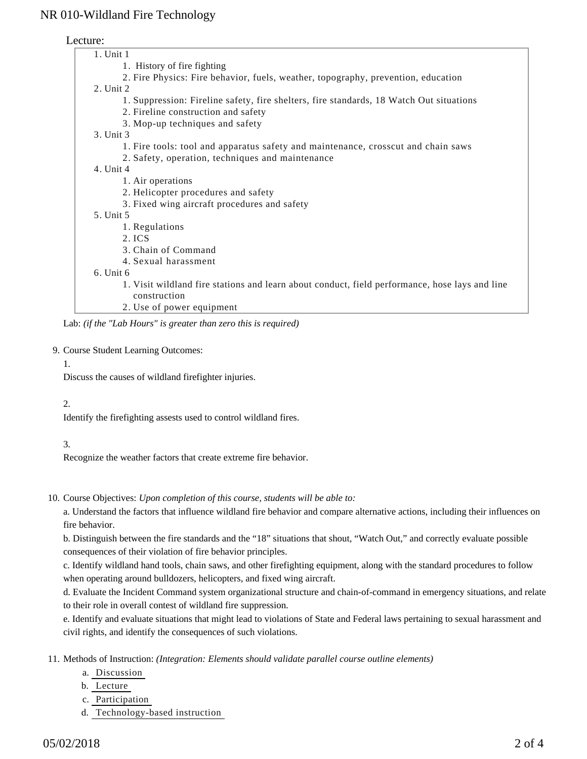## NR 010-Wildland Fire Technology

## Lecture:

| $1.$ Unit $1$                                                                                  |
|------------------------------------------------------------------------------------------------|
| 1. History of fire fighting                                                                    |
| 2. Fire Physics: Fire behavior, fuels, weather, topography, prevention, education              |
| 2. Unit 2                                                                                      |
| 1. Suppression: Fireline safety, fire shelters, fire standards, 18 Watch Out situations        |
| 2. Fireline construction and safety                                                            |
| 3. Mop-up techniques and safety                                                                |
| 3. Unit 3                                                                                      |
| 1. Fire tools: tool and apparatus safety and maintenance, crosscut and chain saws              |
| 2. Safety, operation, techniques and maintenance                                               |
| 4. Unit 4                                                                                      |
| 1. Air operations                                                                              |
| 2. Helicopter procedures and safety                                                            |
| 3. Fixed wing aircraft procedures and safety                                                   |
| 5. Unit 5                                                                                      |
| 1. Regulations                                                                                 |
| 2. ICS                                                                                         |
| 3. Chain of Command                                                                            |
| 4. Sexual harassment                                                                           |
| 6. Unit 6                                                                                      |
| 1. Visit wildland fire stations and learn about conduct, field performance, hose lays and line |
| construction                                                                                   |
| 2. Use of power equipment                                                                      |
|                                                                                                |

Lab: *(if the "Lab Hours" is greater than zero this is required)*

#### 9. Course Student Learning Outcomes:

#### 1.

Discuss the causes of wildland firefighter injuries.

### 2.

Identify the firefighting assests used to control wildland fires.

### 3.

Recognize the weather factors that create extreme fire behavior.

10. Course Objectives: Upon completion of this course, students will be able to:

a. Understand the factors that influence wildland fire behavior and compare alternative actions, including their influences on fire behavior.

b. Distinguish between the fire standards and the "18" situations that shout, "Watch Out," and correctly evaluate possible consequences of their violation of fire behavior principles.

c. Identify wildland hand tools, chain saws, and other firefighting equipment, along with the standard procedures to follow when operating around bulldozers, helicopters, and fixed wing aircraft.

d. Evaluate the Incident Command system organizational structure and chain-of-command in emergency situations, and relate to their role in overall contest of wildland fire suppression.

e. Identify and evaluate situations that might lead to violations of State and Federal laws pertaining to sexual harassment and civil rights, and identify the consequences of such violations.

11. Methods of Instruction: *(Integration: Elements should validate parallel course outline elements)* 

- a. Discussion
- b. Lecture
- c. Participation
- d. Technology-based instruction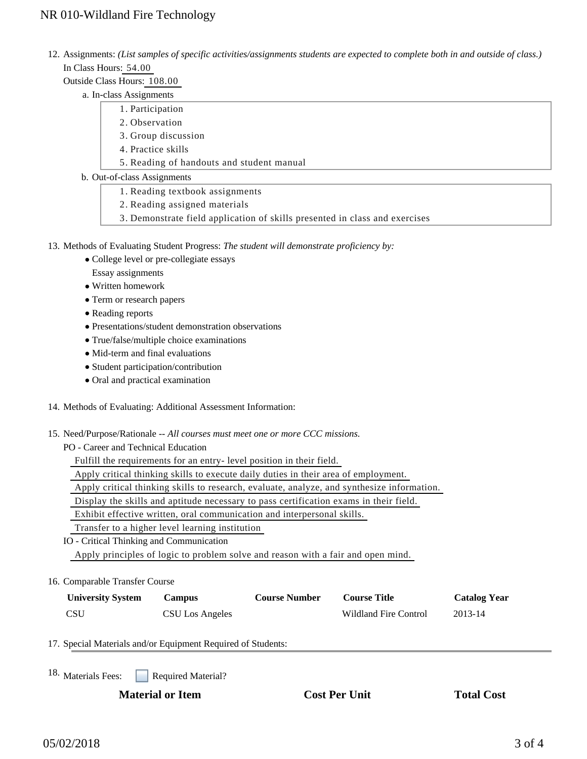## NR 010-Wildland Fire Technology

- 12. Assignments: (List samples of specific activities/assignments students are expected to complete both in and outside of class.) In Class Hours: 54.00
	- Outside Class Hours: 108.00
		- a. In-class Assignments
			- 1. Participation
				- 2. Observation
				- 3. Group discussion
				- 4. Practice skills
				- 5. Reading of handouts and student manual
		- b. Out-of-class Assignments
			- 1. Reading textbook assignments
			- 2. Reading assigned materials
			- 3. Demonstrate field application of skills presented in class and exercises
- 13. Methods of Evaluating Student Progress: The student will demonstrate proficiency by:
	- College level or pre-collegiate essays
		- Essay assignments
	- Written homework
	- Term or research papers
	- Reading reports
	- Presentations/student demonstration observations
	- True/false/multiple choice examinations
	- Mid-term and final evaluations
	- Student participation/contribution
	- Oral and practical examination
- 14. Methods of Evaluating: Additional Assessment Information:
- 15. Need/Purpose/Rationale -- All courses must meet one or more CCC missions.

PO - Career and Technical Education

Fulfill the requirements for an entry- level position in their field.

Apply critical thinking skills to execute daily duties in their area of employment.

Apply critical thinking skills to research, evaluate, analyze, and synthesize information.

Display the skills and aptitude necessary to pass certification exams in their field.

Exhibit effective written, oral communication and interpersonal skills.

Transfer to a higher level learning institution

- IO Critical Thinking and Communication Apply principles of logic to problem solve and reason with a fair and open mind.
- 16. Comparable Transfer Course

| <b>University System</b> | Campus          | <b>Course Number</b> | <b>Course Title</b>   | <b>Catalog Year</b> |
|--------------------------|-----------------|----------------------|-----------------------|---------------------|
| <b>CSU</b>               | CSU Los Angeles |                      | Wildland Fire Control | 2013-14             |

### 17. Special Materials and/or Equipment Required of Students:

Required Material? 18. Materials Fees:

**Material or Item Cost Per Unit Total Cost Per Unit Total Cost Per Unit Total Cost Per Unit Cost Per Unit Cost Per Unit Cost Per Unit Cost Per Unit Cost Per Unit Cost Per Unit Cost Per Unit Cost Per Unit Cost Per Unit Cost**